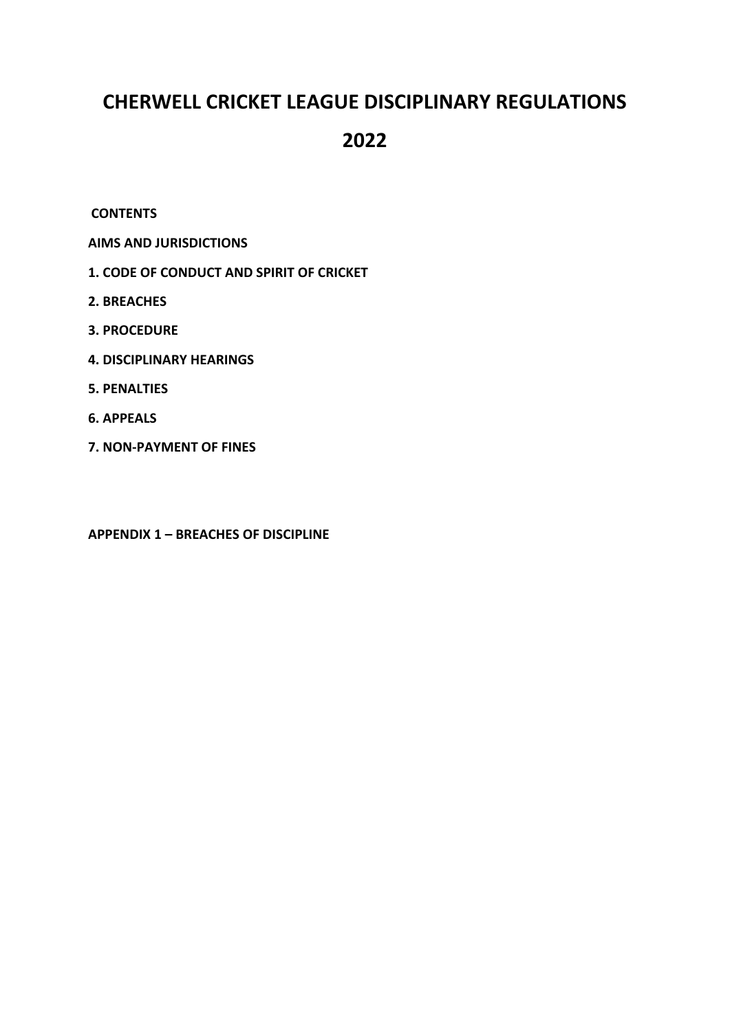# **CHERWELL CRICKET LEAGUE DISCIPLINARY REGULATIONS**

## **2022**

## **CONTENTS**

- **AIMS AND JURISDICTIONS**
- **1. CODE OF CONDUCT AND SPIRIT OF CRICKET**
- **2. BREACHES**
- **3. PROCEDURE**
- **4. DISCIPLINARY HEARINGS**
- **5. PENALTIES**
- **6. APPEALS**
- **7. NON-PAYMENT OF FINES**

**APPENDIX 1 – BREACHES OF DISCIPLINE**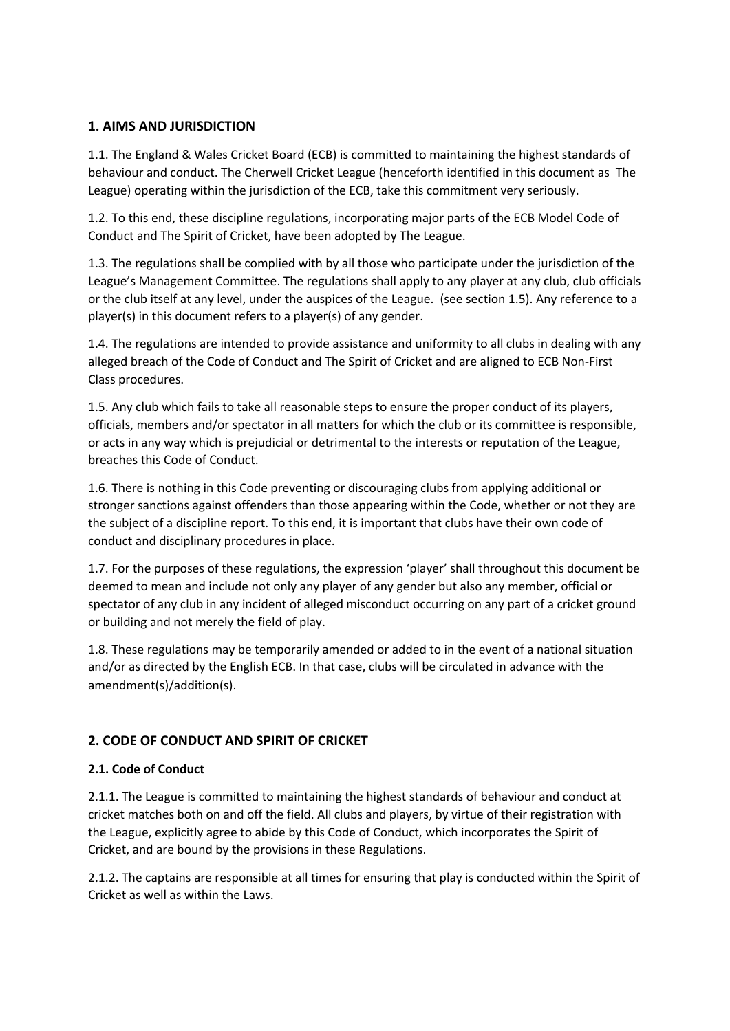## **1. AIMS AND JURISDICTION**

1.1. The England & Wales Cricket Board (ECB) is committed to maintaining the highest standards of behaviour and conduct. The Cherwell Cricket League (henceforth identified in this document as The League) operating within the jurisdiction of the ECB, take this commitment very seriously.

1.2. To this end, these discipline regulations, incorporating major parts of the ECB Model Code of Conduct and The Spirit of Cricket, have been adopted by The League.

1.3. The regulations shall be complied with by all those who participate under the jurisdiction of the League's Management Committee. The regulations shall apply to any player at any club, club officials or the club itself at any level, under the auspices of the League. (see section 1.5). Any reference to a player(s) in this document refers to a player(s) of any gender.

1.4. The regulations are intended to provide assistance and uniformity to all clubs in dealing with any alleged breach of the Code of Conduct and The Spirit of Cricket and are aligned to ECB Non-First Class procedures.

1.5. Any club which fails to take all reasonable steps to ensure the proper conduct of its players, officials, members and/or spectator in all matters for which the club or its committee is responsible, or acts in any way which is prejudicial or detrimental to the interests or reputation of the League, breaches this Code of Conduct.

1.6. There is nothing in this Code preventing or discouraging clubs from applying additional or stronger sanctions against offenders than those appearing within the Code, whether or not they are the subject of a discipline report. To this end, it is important that clubs have their own code of conduct and disciplinary procedures in place.

1.7. For the purposes of these regulations, the expression 'player' shall throughout this document be deemed to mean and include not only any player of any gender but also any member, official or spectator of any club in any incident of alleged misconduct occurring on any part of a cricket ground or building and not merely the field of play.

1.8. These regulations may be temporarily amended or added to in the event of a national situation and/or as directed by the English ECB. In that case, clubs will be circulated in advance with the amendment(s)/addition(s).

## **2. CODE OF CONDUCT AND SPIRIT OF CRICKET**

## **2.1. Code of Conduct**

2.1.1. The League is committed to maintaining the highest standards of behaviour and conduct at cricket matches both on and off the field. All clubs and players, by virtue of their registration with the League, explicitly agree to abide by this Code of Conduct, which incorporates the Spirit of Cricket, and are bound by the provisions in these Regulations.

2.1.2. The captains are responsible at all times for ensuring that play is conducted within the Spirit of Cricket as well as within the Laws.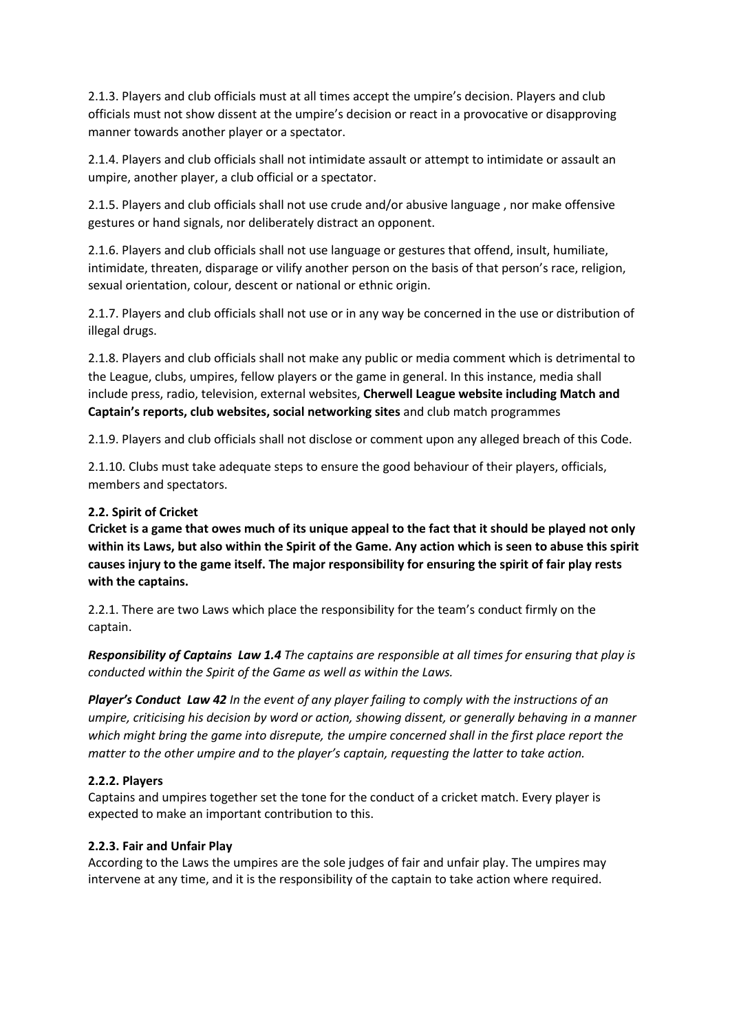2.1.3. Players and club officials must at all times accept the umpire's decision. Players and club officials must not show dissent at the umpire's decision or react in a provocative or disapproving manner towards another player or a spectator.

2.1.4. Players and club officials shall not intimidate assault or attempt to intimidate or assault an umpire, another player, a club official or a spectator.

2.1.5. Players and club officials shall not use crude and/or abusive language , nor make offensive gestures or hand signals, nor deliberately distract an opponent.

2.1.6. Players and club officials shall not use language or gestures that offend, insult, humiliate, intimidate, threaten, disparage or vilify another person on the basis of that person's race, religion, sexual orientation, colour, descent or national or ethnic origin.

2.1.7. Players and club officials shall not use or in any way be concerned in the use or distribution of illegal drugs.

2.1.8. Players and club officials shall not make any public or media comment which is detrimental to the League, clubs, umpires, fellow players or the game in general. In this instance, media shall include press, radio, television, external websites, **Cherwell League website including Match and Captain's reports, club websites, social networking sites** and club match programmes

2.1.9. Players and club officials shall not disclose or comment upon any alleged breach of this Code.

2.1.10. Clubs must take adequate steps to ensure the good behaviour of their players, officials, members and spectators.

## **2.2. Spirit of Cricket**

**Cricket is a game that owes much of its unique appeal to the fact that it should be played not only within its Laws, but also within the Spirit of the Game. Any action which is seen to abuse this spirit causes injury to the game itself. The major responsibility for ensuring the spirit of fair play rests with the captains.** 

2.2.1. There are two Laws which place the responsibility for the team's conduct firmly on the captain.

*Responsibility of Captains Law 1.4 The captains are responsible at all times for ensuring that play is conducted within the Spirit of the Game as well as within the Laws.* 

*Player's Conduct Law 42 In the event of any player failing to comply with the instructions of an umpire, criticising his decision by word or action, showing dissent, or generally behaving in a manner which might bring the game into disrepute, the umpire concerned shall in the first place report the matter to the other umpire and to the player's captain, requesting the latter to take action.* 

## **2.2.2. Players**

Captains and umpires together set the tone for the conduct of a cricket match. Every player is expected to make an important contribution to this.

### **2.2.3. Fair and Unfair Play**

According to the Laws the umpires are the sole judges of fair and unfair play. The umpires may intervene at any time, and it is the responsibility of the captain to take action where required.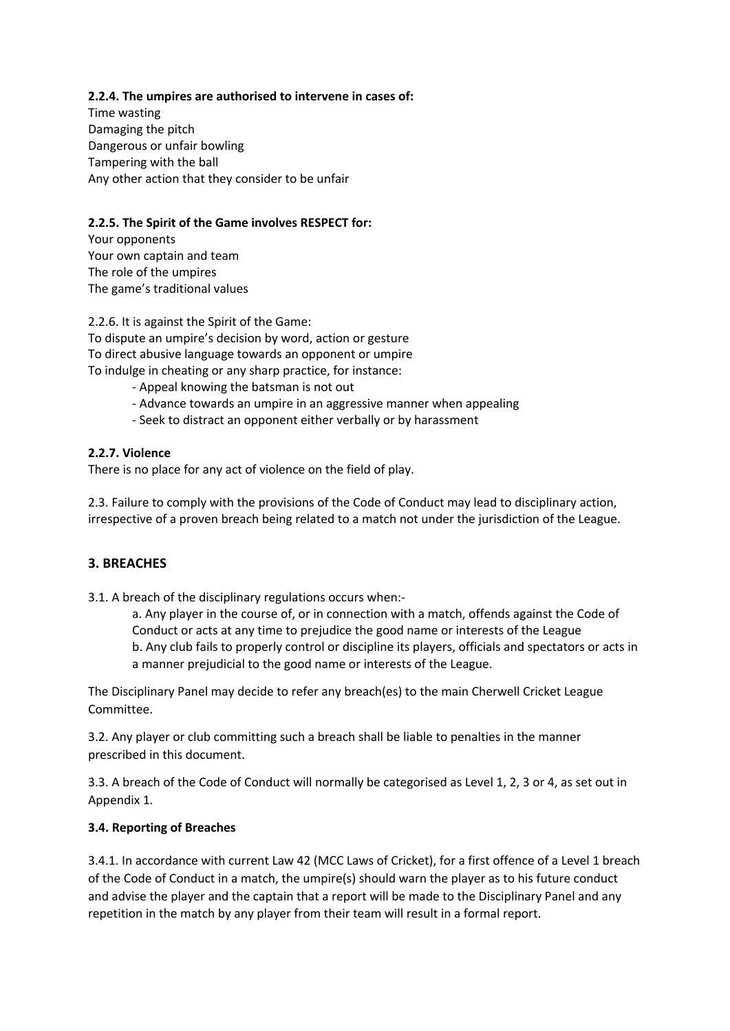## **2.2.4. The umpires are authorised to intervene in cases of:**

Time wasting Damaging the pitch Dangerous or unfair bowling Tampering with the ball Any other action that they consider to be unfair

## **2.2.5. The Spirit of the Game involves RESPECT for:**

Your opponents Your own captain and team The role of the umpires The game's traditional values

2.2.6. It is against the Spirit of the Game: To dispute an umpire's decision by word, action or gesture To direct abusive language towards an opponent or umpire To indulge in cheating or any sharp practice, for instance:

- Appeal knowing the batsman is not out
- Advance towards an umpire in an aggressive manner when appealing
- Seek to distract an opponent either verbally or by harassment

## **2.2.7. Violence**

There is no place for any act of violence on the field of play.

2.3. Failure to comply with the provisions of the Code of Conduct may lead to disciplinary action, irrespective of a proven breach being related to a match not under the jurisdiction of the League.

## **3. BREACHES**

3.1. A breach of the disciplinary regulations occurs when:-

a. Any player in the course of, or in connection with a match, offends against the Code of Conduct or acts at any time to prejudice the good name or interests of the League b. Any club fails to properly control or discipline its players, officials and spectators or acts in a manner prejudicial to the good name or interests of the League.

The Disciplinary Panel may decide to refer any breach(es) to the main Cherwell Cricket League Committee.

3.2. Any player or club committing such a breach shall be liable to penalties in the manner prescribed in this document.

3.3. A breach of the Code of Conduct will normally be categorised as Level 1, 2, 3 or 4, as set out in Appendix 1.

### **3.4. Reporting of Breaches**

3.4.1. In accordance with current Law 42 (MCC Laws of Cricket), for a first offence of a Level 1 breach of the Code of Conduct in a match, the umpire(s) should warn the player as to his future conduct and advise the player and the captain that a report will be made to the Disciplinary Panel and any repetition in the match by any player from their team will result in a formal report.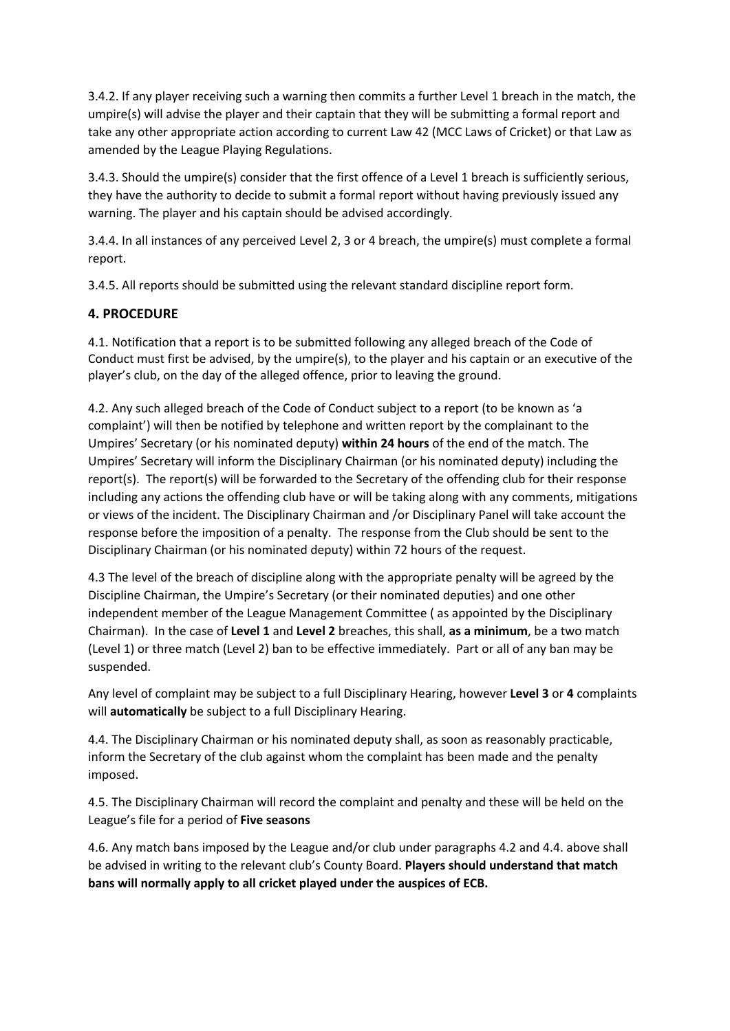3.4.2. If any player receiving such a warning then commits a further Level 1 breach in the match, the umpire(s) will advise the player and their captain that they will be submitting a formal report and take any other appropriate action according to current Law 42 (MCC Laws of Cricket) or that Law as amended by the League Playing Regulations.

3.4.3. Should the umpire(s) consider that the first offence of a Level 1 breach is sufficiently serious, they have the authority to decide to submit a formal report without having previously issued any warning. The player and his captain should be advised accordingly.

3.4.4. In all instances of any perceived Level 2, 3 or 4 breach, the umpire(s) must complete a formal report.

3.4.5. All reports should be submitted using the relevant standard discipline report form.

## **4. PROCEDURE**

4.1. Notification that a report is to be submitted following any alleged breach of the Code of Conduct must first be advised, by the umpire(s), to the player and his captain or an executive of the player's club, on the day of the alleged offence, prior to leaving the ground.

4.2. Any such alleged breach of the Code of Conduct subject to a report (to be known as 'a complaint') will then be notified by telephone and written report by the complainant to the Umpires' Secretary (or his nominated deputy) **within 24 hours** of the end of the match. The Umpires' Secretary will inform the Disciplinary Chairman (or his nominated deputy) including the report(s). The report(s) will be forwarded to the Secretary of the offending club for their response including any actions the offending club have or will be taking along with any comments, mitigations or views of the incident. The Disciplinary Chairman and /or Disciplinary Panel will take account the response before the imposition of a penalty. The response from the Club should be sent to the Disciplinary Chairman (or his nominated deputy) within 72 hours of the request.

4.3 The level of the breach of discipline along with the appropriate penalty will be agreed by the Discipline Chairman, the Umpire's Secretary (or their nominated deputies) and one other independent member of the League Management Committee ( as appointed by the Disciplinary Chairman). In the case of **Level 1** and **Level 2** breaches, this shall, **as a minimum**, be a two match (Level 1) or three match (Level 2) ban to be effective immediately. Part or all of any ban may be suspended.

Any level of complaint may be subject to a full Disciplinary Hearing, however **Level 3** or **4** complaints will **automatically** be subject to a full Disciplinary Hearing.

4.4. The Disciplinary Chairman or his nominated deputy shall, as soon as reasonably practicable, inform the Secretary of the club against whom the complaint has been made and the penalty imposed.

4.5. The Disciplinary Chairman will record the complaint and penalty and these will be held on the League's file for a period of **Five seasons**

4.6. Any match bans imposed by the League and/or club under paragraphs 4.2 and 4.4. above shall be advised in writing to the relevant club's County Board. **Players should understand that match bans will normally apply to all cricket played under the auspices of ECB.**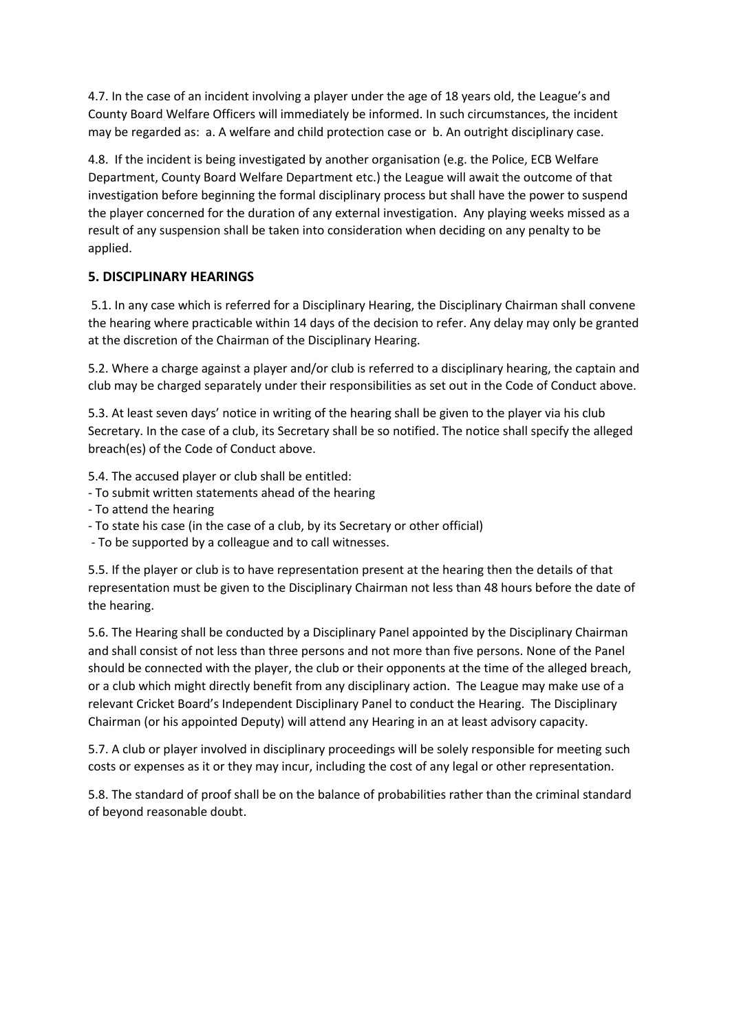4.7. In the case of an incident involving a player under the age of 18 years old, the League's and County Board Welfare Officers will immediately be informed. In such circumstances, the incident may be regarded as: a. A welfare and child protection case or b. An outright disciplinary case.

4.8. If the incident is being investigated by another organisation (e.g. the Police, ECB Welfare Department, County Board Welfare Department etc.) the League will await the outcome of that investigation before beginning the formal disciplinary process but shall have the power to suspend the player concerned for the duration of any external investigation. Any playing weeks missed as a result of any suspension shall be taken into consideration when deciding on any penalty to be applied.

## **5. DISCIPLINARY HEARINGS**

5.1. In any case which is referred for a Disciplinary Hearing, the Disciplinary Chairman shall convene the hearing where practicable within 14 days of the decision to refer. Any delay may only be granted at the discretion of the Chairman of the Disciplinary Hearing.

5.2. Where a charge against a player and/or club is referred to a disciplinary hearing, the captain and club may be charged separately under their responsibilities as set out in the Code of Conduct above.

5.3. At least seven days' notice in writing of the hearing shall be given to the player via his club Secretary. In the case of a club, its Secretary shall be so notified. The notice shall specify the alleged breach(es) of the Code of Conduct above.

5.4. The accused player or club shall be entitled:

- To submit written statements ahead of the hearing
- To attend the hearing
- To state his case (in the case of a club, by its Secretary or other official)
- To be supported by a colleague and to call witnesses.

5.5. If the player or club is to have representation present at the hearing then the details of that representation must be given to the Disciplinary Chairman not less than 48 hours before the date of the hearing.

5.6. The Hearing shall be conducted by a Disciplinary Panel appointed by the Disciplinary Chairman and shall consist of not less than three persons and not more than five persons. None of the Panel should be connected with the player, the club or their opponents at the time of the alleged breach, or a club which might directly benefit from any disciplinary action. The League may make use of a relevant Cricket Board's Independent Disciplinary Panel to conduct the Hearing. The Disciplinary Chairman (or his appointed Deputy) will attend any Hearing in an at least advisory capacity.

5.7. A club or player involved in disciplinary proceedings will be solely responsible for meeting such costs or expenses as it or they may incur, including the cost of any legal or other representation.

5.8. The standard of proof shall be on the balance of probabilities rather than the criminal standard of beyond reasonable doubt.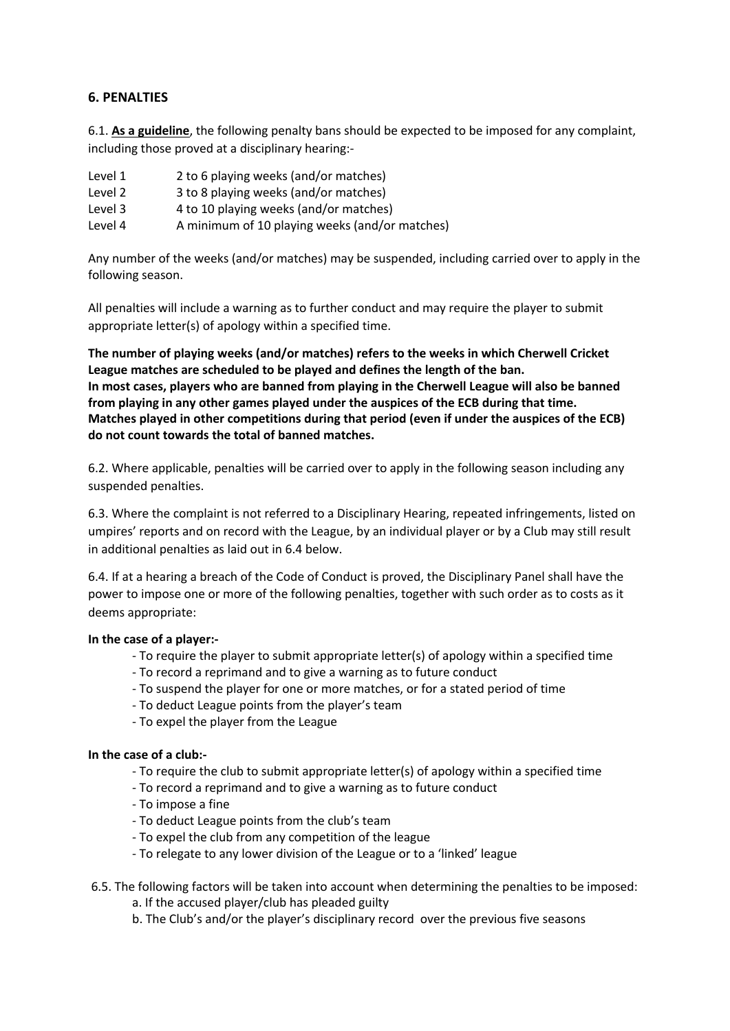## **6. PENALTIES**

6.1. **As a guideline**, the following penalty bans should be expected to be imposed for any complaint, including those proved at a disciplinary hearing:-

Level 1 2 to 6 playing weeks (and/or matches) Level 2 3 to 8 playing weeks (and/or matches) Level 3 4 to 10 playing weeks (and/or matches) Level 4 A minimum of 10 playing weeks (and/or matches)

Any number of the weeks (and/or matches) may be suspended, including carried over to apply in the following season.

All penalties will include a warning as to further conduct and may require the player to submit appropriate letter(s) of apology within a specified time.

**The number of playing weeks (and/or matches) refers to the weeks in which Cherwell Cricket League matches are scheduled to be played and defines the length of the ban. In most cases, players who are banned from playing in the Cherwell League will also be banned from playing in any other games played under the auspices of the ECB during that time. Matches played in other competitions during that period (even if under the auspices of the ECB) do not count towards the total of banned matches.** 

6.2. Where applicable, penalties will be carried over to apply in the following season including any suspended penalties.

6.3. Where the complaint is not referred to a Disciplinary Hearing, repeated infringements, listed on umpires' reports and on record with the League, by an individual player or by a Club may still result in additional penalties as laid out in 6.4 below.

6.4. If at a hearing a breach of the Code of Conduct is proved, the Disciplinary Panel shall have the power to impose one or more of the following penalties, together with such order as to costs as it deems appropriate:

### **In the case of a player:-**

- To require the player to submit appropriate letter(s) of apology within a specified time
- To record a reprimand and to give a warning as to future conduct
- To suspend the player for one or more matches, or for a stated period of time
- To deduct League points from the player's team
- To expel the player from the League

### **In the case of a club:-**

- To require the club to submit appropriate letter(s) of apology within a specified time
- To record a reprimand and to give a warning as to future conduct
- To impose a fine
- To deduct League points from the club's team
- To expel the club from any competition of the league
- To relegate to any lower division of the League or to a 'linked' league
- 6.5. The following factors will be taken into account when determining the penalties to be imposed:

a. If the accused player/club has pleaded guilty

b. The Club's and/or the player's disciplinary record over the previous five seasons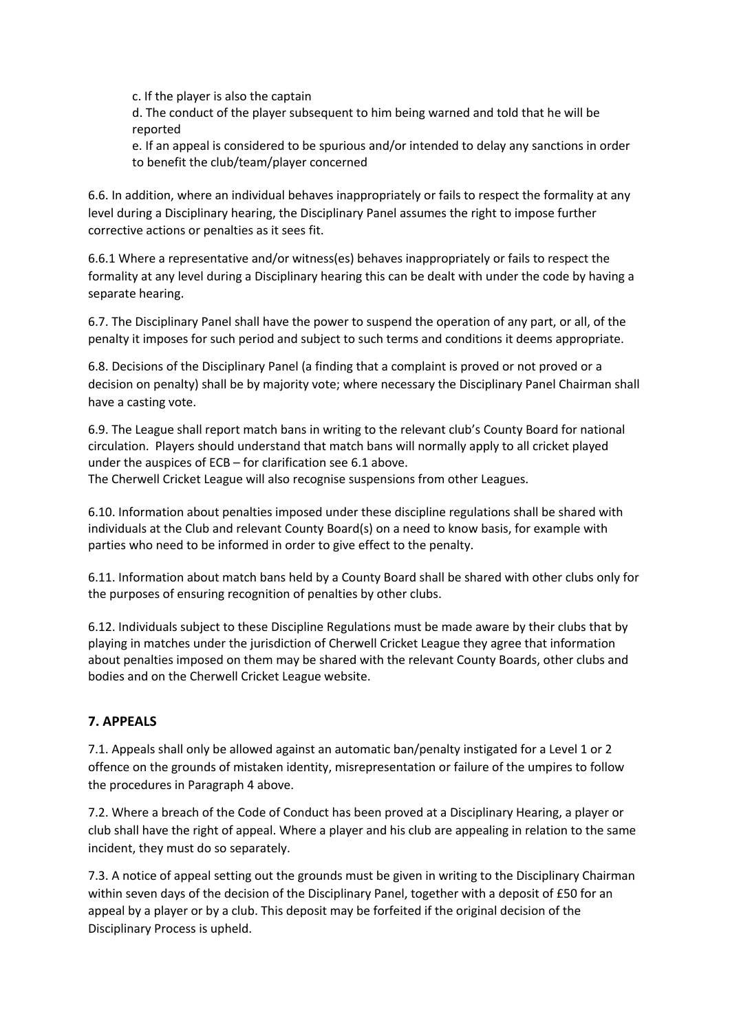c. If the player is also the captain

d. The conduct of the player subsequent to him being warned and told that he will be reported

e. If an appeal is considered to be spurious and/or intended to delay any sanctions in order to benefit the club/team/player concerned

6.6. In addition, where an individual behaves inappropriately or fails to respect the formality at any level during a Disciplinary hearing, the Disciplinary Panel assumes the right to impose further corrective actions or penalties as it sees fit.

6.6.1 Where a representative and/or witness(es) behaves inappropriately or fails to respect the formality at any level during a Disciplinary hearing this can be dealt with under the code by having a separate hearing.

6.7. The Disciplinary Panel shall have the power to suspend the operation of any part, or all, of the penalty it imposes for such period and subject to such terms and conditions it deems appropriate.

6.8. Decisions of the Disciplinary Panel (a finding that a complaint is proved or not proved or a decision on penalty) shall be by majority vote; where necessary the Disciplinary Panel Chairman shall have a casting vote.

6.9. The League shall report match bans in writing to the relevant club's County Board for national circulation. Players should understand that match bans will normally apply to all cricket played under the auspices of ECB – for clarification see 6.1 above. The Cherwell Cricket League will also recognise suspensions from other Leagues.

6.10. Information about penalties imposed under these discipline regulations shall be shared with individuals at the Club and relevant County Board(s) on a need to know basis, for example with parties who need to be informed in order to give effect to the penalty.

6.11. Information about match bans held by a County Board shall be shared with other clubs only for the purposes of ensuring recognition of penalties by other clubs.

6.12. Individuals subject to these Discipline Regulations must be made aware by their clubs that by playing in matches under the jurisdiction of Cherwell Cricket League they agree that information about penalties imposed on them may be shared with the relevant County Boards, other clubs and bodies and on the Cherwell Cricket League website.

## **7. APPEALS**

7.1. Appeals shall only be allowed against an automatic ban/penalty instigated for a Level 1 or 2 offence on the grounds of mistaken identity, misrepresentation or failure of the umpires to follow the procedures in Paragraph 4 above.

7.2. Where a breach of the Code of Conduct has been proved at a Disciplinary Hearing, a player or club shall have the right of appeal. Where a player and his club are appealing in relation to the same incident, they must do so separately.

7.3. A notice of appeal setting out the grounds must be given in writing to the Disciplinary Chairman within seven days of the decision of the Disciplinary Panel, together with a deposit of £50 for an appeal by a player or by a club. This deposit may be forfeited if the original decision of the Disciplinary Process is upheld.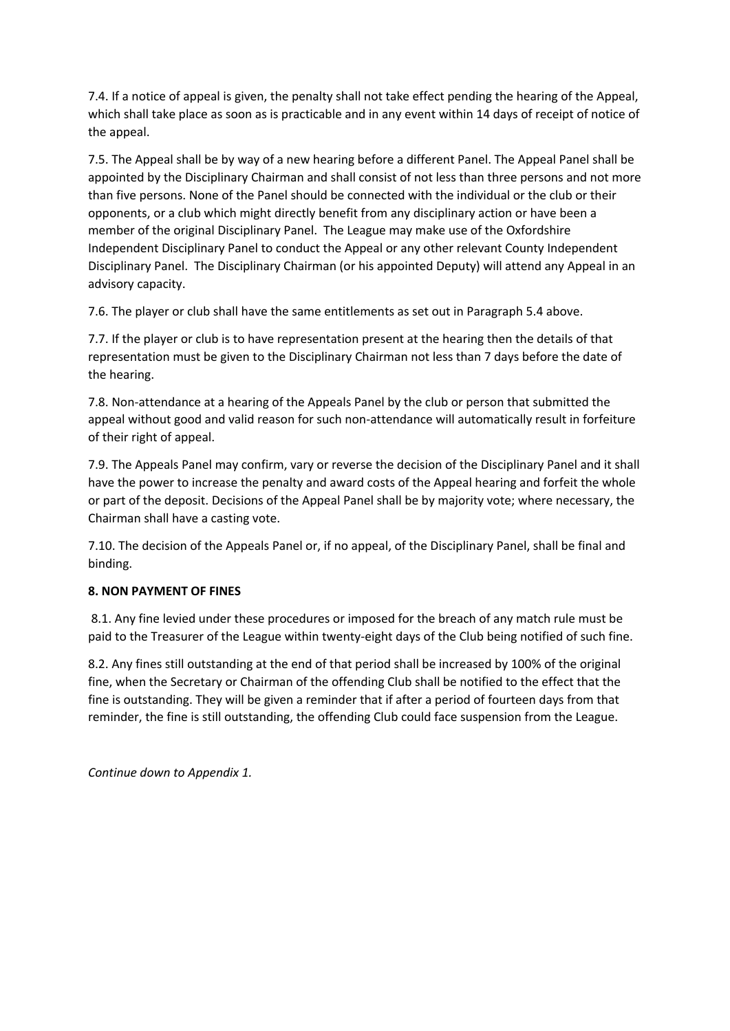7.4. If a notice of appeal is given, the penalty shall not take effect pending the hearing of the Appeal, which shall take place as soon as is practicable and in any event within 14 days of receipt of notice of the appeal.

7.5. The Appeal shall be by way of a new hearing before a different Panel. The Appeal Panel shall be appointed by the Disciplinary Chairman and shall consist of not less than three persons and not more than five persons. None of the Panel should be connected with the individual or the club or their opponents, or a club which might directly benefit from any disciplinary action or have been a member of the original Disciplinary Panel. The League may make use of the Oxfordshire Independent Disciplinary Panel to conduct the Appeal or any other relevant County Independent Disciplinary Panel. The Disciplinary Chairman (or his appointed Deputy) will attend any Appeal in an advisory capacity.

7.6. The player or club shall have the same entitlements as set out in Paragraph 5.4 above.

7.7. If the player or club is to have representation present at the hearing then the details of that representation must be given to the Disciplinary Chairman not less than 7 days before the date of the hearing.

7.8. Non-attendance at a hearing of the Appeals Panel by the club or person that submitted the appeal without good and valid reason for such non-attendance will automatically result in forfeiture of their right of appeal.

7.9. The Appeals Panel may confirm, vary or reverse the decision of the Disciplinary Panel and it shall have the power to increase the penalty and award costs of the Appeal hearing and forfeit the whole or part of the deposit. Decisions of the Appeal Panel shall be by majority vote; where necessary, the Chairman shall have a casting vote.

7.10. The decision of the Appeals Panel or, if no appeal, of the Disciplinary Panel, shall be final and binding.

## **8. NON PAYMENT OF FINES**

8.1. Any fine levied under these procedures or imposed for the breach of any match rule must be paid to the Treasurer of the League within twenty-eight days of the Club being notified of such fine.

8.2. Any fines still outstanding at the end of that period shall be increased by 100% of the original fine, when the Secretary or Chairman of the offending Club shall be notified to the effect that the fine is outstanding. They will be given a reminder that if after a period of fourteen days from that reminder, the fine is still outstanding, the offending Club could face suspension from the League.

*Continue down to Appendix 1.*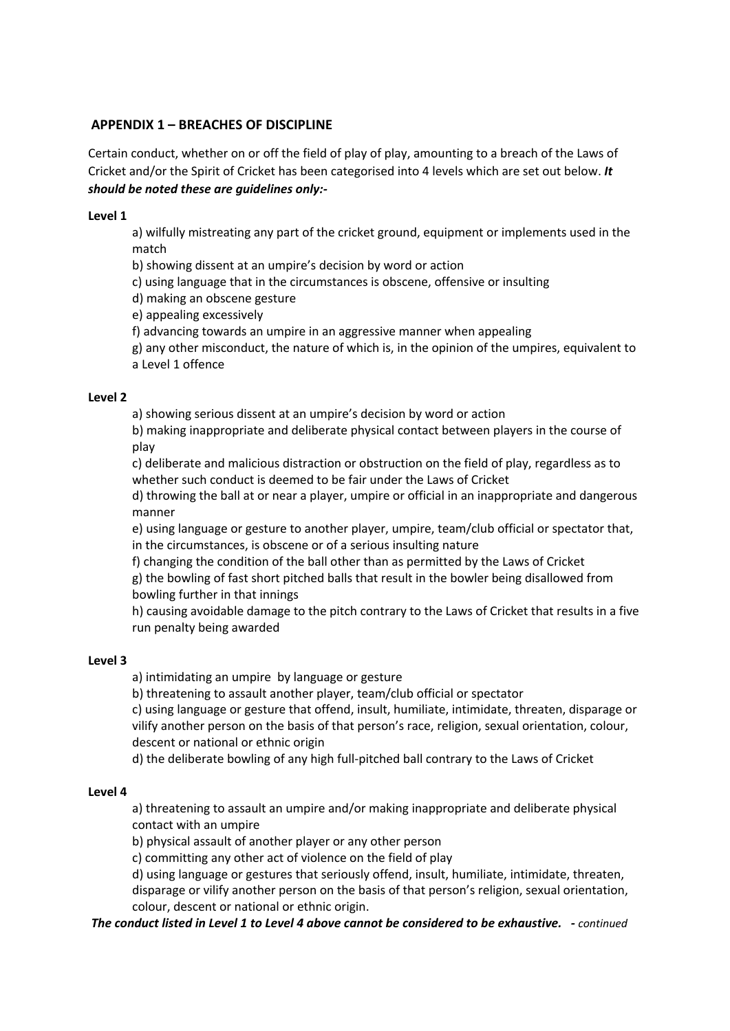## **APPENDIX 1 – BREACHES OF DISCIPLINE**

Certain conduct, whether on or off the field of play of play, amounting to a breach of the Laws of Cricket and/or the Spirit of Cricket has been categorised into 4 levels which are set out below. *It should be noted these are guidelines only:-*

## **Level 1**

a) wilfully mistreating any part of the cricket ground, equipment or implements used in the match

b) showing dissent at an umpire's decision by word or action

c) using language that in the circumstances is obscene, offensive or insulting

d) making an obscene gesture

e) appealing excessively

f) advancing towards an umpire in an aggressive manner when appealing

g) any other misconduct, the nature of which is, in the opinion of the umpires, equivalent to a Level 1 offence

### **Level 2**

a) showing serious dissent at an umpire's decision by word or action

b) making inappropriate and deliberate physical contact between players in the course of play

c) deliberate and malicious distraction or obstruction on the field of play, regardless as to whether such conduct is deemed to be fair under the Laws of Cricket

d) throwing the ball at or near a player, umpire or official in an inappropriate and dangerous manner

e) using language or gesture to another player, umpire, team/club official or spectator that, in the circumstances, is obscene or of a serious insulting nature

f) changing the condition of the ball other than as permitted by the Laws of Cricket g) the bowling of fast short pitched balls that result in the bowler being disallowed from bowling further in that innings

h) causing avoidable damage to the pitch contrary to the Laws of Cricket that results in a five run penalty being awarded

### **Level 3**

a) intimidating an umpire by language or gesture

b) threatening to assault another player, team/club official or spectator

c) using language or gesture that offend, insult, humiliate, intimidate, threaten, disparage or vilify another person on the basis of that person's race, religion, sexual orientation, colour, descent or national or ethnic origin

d) the deliberate bowling of any high full-pitched ball contrary to the Laws of Cricket

### **Level 4**

a) threatening to assault an umpire and/or making inappropriate and deliberate physical contact with an umpire

b) physical assault of another player or any other person

c) committing any other act of violence on the field of play

d) using language or gestures that seriously offend, insult, humiliate, intimidate, threaten, disparage or vilify another person on the basis of that person's religion, sexual orientation, colour, descent or national or ethnic origin.

*The conduct listed in Level 1 to Level 4 above cannot be considered to be exhaustive. - continued*